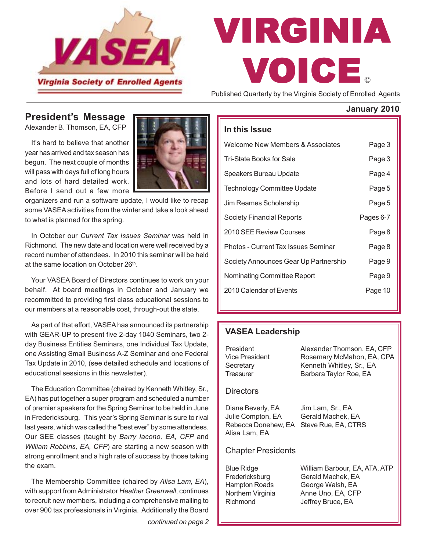

# © VIRGINIA VOICE

**President's Message**

Alexander B. Thomson, EA, CFP

It's hard to believe that another year has arrived and tax season has begun. The next couple of months will pass with days full of long hours and lots of hard detailed work. Before I send out a few more



organizers and run a software update, I would like to recap some VASEA activities from the winter and take a look ahead to what is planned for the spring.

In October our *Current Tax Issues Seminar* was held in Richmond. The new date and location were well received by a record number of attendees. In 2010 this seminar will be held at the same location on October 26<sup>th</sup>.

Your VASEA Board of Directors continues to work on your behalf. At board meetings in October and January we recommitted to providing first class educational sessions to our members at a reasonable cost, through-out the state.

As part of that effort, VASEA has announced its partnership with GEAR-UP to present five 2-day 1040 Seminars, two 2 day Business Entities Seminars, one Individual Tax Update, one Assisting Small Business A-Z Seminar and one Federal Tax Update in 2010, (see detailed schedule and locations of educational sessions in this newsletter).

The Education Committee (chaired by Kenneth Whitley, Sr., EA) has put together a super program and scheduled a number of premier speakers for the Spring Seminar to be held in June in Fredericksburg. This year's Spring Seminar is sure to rival last years, which was called the "best ever" by some attendees. Our SEE classes (taught by *Barry Iacono, EA, CFP* and *William Robbins, EA, CFP*) are starting a new season with strong enrollment and a high rate of success by those taking the exam.

The Membership Committee (chaired by *Alisa Lam, EA*), with support from Administrator *Heather Greenwell*, continues to recruit new members, including a comprehensive mailing to over 900 tax professionals in Virginia. Additionally the Board

*continued on page 2*

Published Quarterly by the Virginia Society of Enrolled Agents

### **January 2010**

#### **In this Issue**

| Welcome New Members & Associates      | Page 3    |
|---------------------------------------|-----------|
| <b>Tri-State Books for Sale</b>       | Page 3    |
| Speakers Bureau Update                | Page 4    |
| <b>Technology Committee Update</b>    | Page 5    |
| Jim Reames Scholarship                | Page 5    |
| <b>Society Financial Reports</b>      | Pages 6-7 |
| 2010 SEE Review Courses               | Page 8    |
| Photos - Current Tax Issues Seminar   | Page 8    |
| Society Announces Gear Up Partnership | Page 9    |
| Nominating Committee Report           | Page 9    |
| 2010 Calendar of Events               | Page 10   |
|                                       |           |

## **VASEA Leadership**

| President<br>Vice President<br>Secretary<br>Treasurer                          | Alexander Thomson, EA, CFP<br>Rosemary McMahon, EA, CPA<br>Kenneth Whitley, Sr., EA<br>Barbara Taylor Roe, EA |
|--------------------------------------------------------------------------------|---------------------------------------------------------------------------------------------------------------|
| <b>Directors</b>                                                               |                                                                                                               |
| Diane Beverly, EA<br>Julie Compton, EA<br>Rebecca Donehew, EA<br>Alisa Lam, EA | Jim Lam, Sr., EA<br>Gerald Machek, EA<br>Steve Rue, EA, CTRS                                                  |

#### Chapter Presidents

Blue Ridge William Barbour, EA, ATA, ATP Fredericksburg Gerald Machek, EA Hampton Roads George Walsh, EA Northern Virginia Anne Uno, EA, CFP Richmond Jeffrey Bruce, EA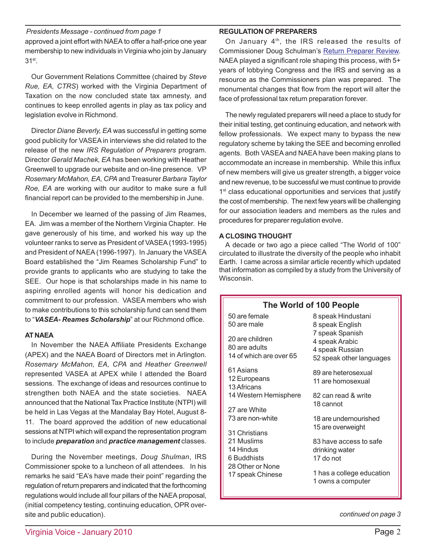#### *Presidents Message - continued from page 1*

approved a joint effort with NAEA to offer a half-price one year membership to new individuals in Virginia who join by January 31st.

Our Government Relations Committee (chaired by *Steve Rue, EA, CTRS*) worked with the Virginia Department of Taxation on the now concluded state tax amnesty, and continues to keep enrolled agents in play as tax policy and legislation evolve in Richmond.

Director *Diane Beverly, EA* was successful in getting some good publicity for VASEA in interviews she did related to the release of the new *IRS Regulation of Preparers* program. Director *Gerald Machek, EA* has been working with Heather Greenwell to upgrade our website and on-line presence. VP *Rosemary McMahon, EA, CPA* and Treasurer *Barbara Taylor Roe, EA* are working with our auditor to make sure a full financial report can be provided to the membership in June.

In December we learned of the passing of Jim Reames, EA. Jim was a member of the Northern Virginia Chapter. He gave generously of his time, and worked his way up the volunteer ranks to serve as President of VASEA (1993-1995) and President of NAEA (1996-1997). In January the VASEA Board established the "Jim Reames Scholarship Fund" to provide grants to applicants who are studying to take the SEE. Our hope is that scholarships made in his name to aspiring enrolled agents will honor his dedication and commitment to our profession. VASEA members who wish to make contributions to this scholarship fund can send them to "*VASEA- Reames Scholarship*" at our Richmond office.

#### **AT NAEA**

In November the NAEA Affiliate Presidents Exchange (APEX) and the NAEA Board of Directors met in Arlington. *Rosemary McMahon, EA, CPA* and *Heather Greenwell* represented VASEA at APEX while I attended the Board sessions. The exchange of ideas and resources continue to strengthen both NAEA and the state societies. NAEA announced that the National Tax Practice Institute (NTPI) will be held in Las Vegas at the Mandalay Bay Hotel, August 8- 11. The board approved the addition of new educational sessions at NTPI which will expand the representation program to include *preparation* and *practice management* classes.

During the November meetings, *Doug Shulman*, IRS Commissioner spoke to a luncheon of all attendees. In his remarks he said "EA's have made their point" regarding the regulation of return preparers and indicated that the forthcoming regulations would include all four pillars of the NAEA proposal, (initial competency testing, continuing education, OPR oversite and public education).

#### **REGULATION OF PREPARERS**

On January 4<sup>th</sup>, the IRS released the results of Commissioner Doug Schulman's Return Preparer Review. NAEA played a significant role shaping this process, with 5+ years of lobbying Congress and the IRS and serving as a resource as the Commissioners plan was prepared. The monumental changes that flow from the report will alter the face of professional tax return preparation forever.

The newly regulated preparers will need a place to study for their initial testing, get continuing education, and network with fellow professionals. We expect many to bypass the new regulatory scheme by taking the SEE and becoming enrolled agents. Both VASEA and NAEA have been making plans to accommodate an increase in membership. While this influx of new members will give us greater strength, a bigger voice and new revenue, to be successful we must continue to provide 1<sup>st</sup> class educational opportunities and services that justify the cost of membership. The next few years will be challenging for our association leaders and members as the rules and procedures for preparer regulation evolve.

#### **A CLOSING THOUGHT**

A decade or two ago a piece called "The World of 100" circulated to illustrate the diversity of the people who inhabit Earth. I came across a similar article recently which updated that information as compiled by a study from the University of Wisconsin.

| The World of 100 People                                                                         |                                                                                  |  |  |
|-------------------------------------------------------------------------------------------------|----------------------------------------------------------------------------------|--|--|
| 50 are female<br>50 are male                                                                    | 8 speak Hindustani<br>8 speak English                                            |  |  |
| 20 are children<br>80 are adults<br>14 of which are over 65                                     | 7 speak Spanish<br>4 speak Arabic<br>4 speak Russian<br>52 speak other languages |  |  |
| 61 Asians<br>12 Europeans<br>13 Africans                                                        | 89 are heterosexual<br>11 are homosexual                                         |  |  |
| 14 Western Hemisphere<br>27 are White                                                           | 82 can read & write<br>18 cannot                                                 |  |  |
| 73 are non-white                                                                                | 18 are undernourished<br>15 are overweight                                       |  |  |
| 31 Christians<br>21 Muslims<br>14 Hindus<br>6 Buddhists<br>28 Other or None<br>17 speak Chinese | 83 have access to safe<br>drinking water<br>17 do not                            |  |  |
|                                                                                                 | 1 has a college education<br>1 owns a computer                                   |  |  |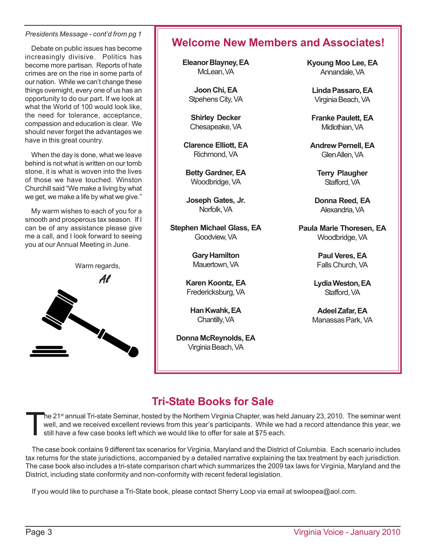#### *Presidents Message - cont'd from pg 1*

Debate on public issues has become increasingly divisive. Politics has become more partisan. Reports of hate crimes are on the rise in some parts of our nation. While we can't change these things overnight, every one of us has an opportunity to do our part. If we look at what the World of 100 would look like, the need for tolerance, acceptance, compassion and education is clear. We should never forget the advantages we have in this great country.

When the day is done, what we leave behind is not what is written on our tomb stone, it is what is woven into the lives of those we have touched. Winston Churchill said "We make a living by what we get, we make a life by what we give."

My warm wishes to each of you for a smooth and prosperous tax season. If I can be of any assistance please give me a call, and I look forward to seeing you at our Annual Meeting in June.



# **Welcome New Members and Associates!**

**Eleanor Blayney, EA** McLean, VA

**Joon Chi, EA** Stpehens City, VA

**Shirley Decker** Chesapeake, VA

**Clarence Elliott, EA** Richmond, VA

**Betty Gardner, EA** Woodbridge, VA

**Joseph Gates, Jr.** Norfolk, VA

**Stephen Michael Glass, EA** Goodview, VA

> **Gary Hamilton** Mauertown, VA

**Karen Koontz, EA** Fredericksburg, VA

**Han Kwahk, EA** Chantilly, VA

**Donna McReynolds, EA** Virginia Beach, VA

**Kyoung Moo Lee, EA** Annandale, VA

**Linda Passaro, EA** Virginia Beach, VA

**Franke Paulett, EA** Midlothian, VA

**Andrew Pernell, EA** Glen Allen, VA

> **Terry Plaugher** Stafford, VA

**Donna Reed, EA** Alexandria, VA

**Paula Marie Thoresen, EA** Woodbridge, VA

> **Paul Veres, EA** Falls Church, VA

**Lydia Weston, EA** Stafford, VA

**Adeel Zafar, EA** Manassas Park, VA

# **Tri-State Books for Sale**

The 21<sup>st</sup> annual Tri-state Seminar, hosted by the Northern Virginia Chapter, was held January 23, 2010. The seminar went well, and we received excellent reviews from this year's participants. While we had a record attenda well, and we received excellent reviews from this year's participants. While we had a record attendance this year, we still have a few case books left which we would like to offer for sale at \$75 each.

The case book contains 9 different tax scenarios for Virginia, Maryland and the District of Columbia. Each scenario includes tax returns for the state jurisdictions, accompanied by a detailed narrative explaining the tax treatment by each jurisdiction. The case book also includes a tri-state comparison chart which summarizes the 2009 tax laws for Virginia, Maryland and the District, including state conformity and non-conformity with recent federal legislation.

If you would like to purchase a Tri-State book, please contact Sherry Loop via email at swloopea@aol.com.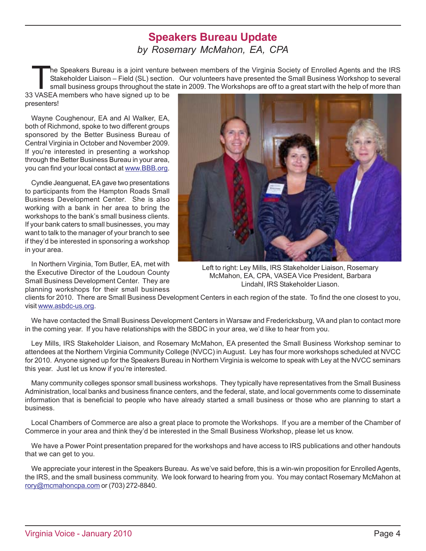# **Speakers Bureau Update** *by Rosemary McMahon, EA, CPA*

The Speakers Bureau is a joint venture between members of the Virginia Society of Enrolled Agents and the IRS<br>Stakeholder Liaison – Field (SL) section. Our volunteers have presented the Small Business Workshop to several<br>s Stakeholder Liaison – Field (SL) section. Our volunteers have presented the Small Business Workshop to several

33 VASEA members who have signed up to be presenters!

Wayne Coughenour, EA and Al Walker, EA, both of Richmond, spoke to two different groups sponsored by the Better Business Bureau of Central Virginia in October and November 2009. If you're interested in presenting a workshop through the Better Business Bureau in your area, you can find your local contact at www.BBB.org.

Cyndie Jeanguenat, EA gave two presentations to participants from the Hampton Roads Small Business Development Center. She is also working with a bank in her area to bring the workshops to the bank's small business clients. If your bank caters to small businesses, you may want to talk to the manager of your branch to see if they'd be interested in sponsoring a workshop in your area.

In Northern Virginia, Tom Butler, EA, met with the Executive Director of the Loudoun County Small Business Development Center. They are planning workshops for their small business



Left to right: Ley Mills, IRS Stakeholder Liaison, Rosemary McMahon, EA, CPA, VASEA Vice President, Barbara Lindahl, IRS Stakeholder Liason.

clients for 2010. There are Small Business Development Centers in each region of the state. To find the one closest to you, visit www.asbdc-us.org.

We have contacted the Small Business Development Centers in Warsaw and Fredericksburg, VA and plan to contact more in the coming year. If you have relationships with the SBDC in your area, we'd like to hear from you.

Ley Mills, IRS Stakeholder Liaison, and Rosemary McMahon, EA presented the Small Business Workshop seminar to attendees at the Northern Virginia Community College (NVCC) in August. Ley has four more workshops scheduled at NVCC for 2010. Anyone signed up for the Speakers Bureau in Northern Virginia is welcome to speak with Ley at the NVCC seminars this year. Just let us know if you're interested.

Many community colleges sponsor small business workshops. They typically have representatives from the Small Business Administration, local banks and business finance centers, and the federal, state, and local governments come to disseminate information that is beneficial to people who have already started a small business or those who are planning to start a business.

Local Chambers of Commerce are also a great place to promote the Workshops. If you are a member of the Chamber of Commerce in your area and think they'd be interested in the Small Business Workshop, please let us know.

We have a Power Point presentation prepared for the workshops and have access to IRS publications and other handouts that we can get to you.

We appreciate your interest in the Speakers Bureau. As we've said before, this is a win-win proposition for Enrolled Agents, the IRS, and the small business community. We look forward to hearing from you. You may contact Rosemary McMahon at rory@mcmahoncpa.com or (703) 272-8840.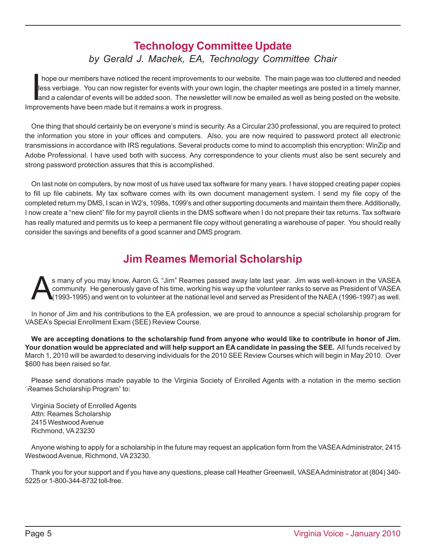# **1 2 3 Technology Committee Update** *by Gerald J. Machek, EA, Technology Committee Chair*

I<sub>le</sub> hope our members have noticed the recent improvements to our website. The main page was too cluttered and needed less verbiage. You can now register for events with your own login, the chapter meetings are posted in a timely manner, and a calendar of events will be added soon. The newsletter will now be emailed as well as being posted on the website. Improvements have been made but it remains a work in progress.

**4 5** Adobe Professional. I have used both with success. Any correspondence to your clients must also be sent securely and One thing that should certainly be on everyone's mind is security. As a Circular 230 professional, you are required to protect the information you store in your offices and computers. Also, you are now required to password protect all electronic transmissions in accordance with IRS regulations. Several products come to mind to accomplish this encryption: WinZip and strong password protection assures that this is accomplished.

On last note on computers, by now most of us have used tax software for many years. I have stopped creating paper copies to fill up file cabinets. My tax software comes with its own document management system. I send my file copy of the completed return my DMS, I scan in W2's, 1098s, 1099's and other supporting documents and maintain them there. Additionally, I now create a "new client" file for my payroll clients in the DMS software when I do not prepare their tax returns. Tax software has really matured and permits us to keep a permanent file copy without generating a warehouse of paper. You should really consider the savings and benefits of a good scanner and DMS program.

# **Jim Reames Memorial Scholarship**

S many of you may know, Aaron G. "Jim" Reames passed away late last year. Jim was well-known in the VASEA<br>
(1993-1995) and went on to volunteer at the national level and served as President of the NAEA (1996-1997) as well. community. He generously gave of his time, working his way up the volunteer ranks to serve as President of VASEA s many of you may know, Aaron G. "Jim" Reames passed away late last year. Jim was well-known in the VASEA

In honor of Jim and his contributions to the EA profession, we are proud to announce a special scholarship program for VASEA's Special Enrollment Exam (SEE) Review Course.

**We are accepting donations to the scholarship fund from anyone who would like to contribute in honor of Jim. Your donation would be appreciated and will help support an EA candidate in passing the SEE.** All funds received by March 1, 2010 will be awarded to deserving individuals for the 2010 SEE Review Courses which will begin in May 2010. Over \$600 has been raised so far.

Please send donations made payable to the Virginia Society of Enrolled Agents with a notation in the memo section **11** "Reames Scholarship Program" to: **9 10**

Virginia Society of Enrolled Agents Attn: Reames Scholarship 2415 Westwood Avenue Richmond, VA 23230

Anyone wishing to apply for a scholarship in the future may request an application form from the VASEA Administrator, 2415 Westwood Avenue, Richmond, VA 23230.

Thank you for your support and if you have any questions, please call Heather Greenwell, VASEA Administrator at (804) 340- 5225 or 1-800-344-8732 toll-free.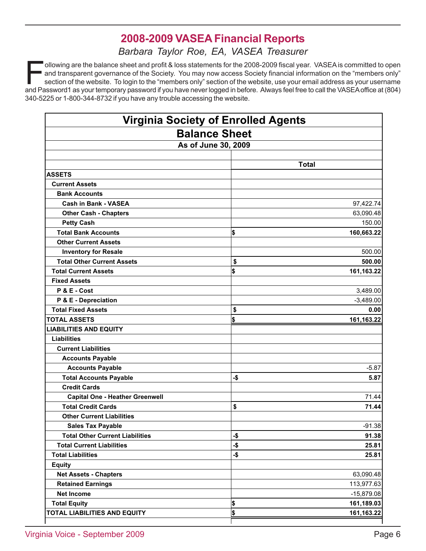# **2008-2009 VASEA Financial Reports**

*Barbara Taylor Roe, EA, VASEA Treasurer*

ollowing are the balance sheet and profit & loss statements for the 2008-2009 fiscal year. VASEA is committed to open and transparent governance of the Society. You may now access Society financial information on the "members only" section of the website. To login to the "members only" section of the website, use your email address as your username and Password1 as your temporary password if you have never logged in before. Always feel free to call the VASEA office at (804) 340-5225 or 1-800-344-8732 if you have any trouble accessing the website.

| <b>Virginia Society of Enrolled Agents</b><br><b>Balance Sheet</b> |              |              |                     |
|--------------------------------------------------------------------|--------------|--------------|---------------------|
|                                                                    |              |              | As of June 30, 2009 |
|                                                                    |              |              |                     |
|                                                                    | <b>Total</b> |              |                     |
| <b>ASSETS</b>                                                      |              |              |                     |
| <b>Current Assets</b>                                              |              |              |                     |
| <b>Bank Accounts</b>                                               |              |              |                     |
| <b>Cash in Bank - VASEA</b>                                        |              | 97,422.74    |                     |
| <b>Other Cash - Chapters</b>                                       |              | 63,090.48    |                     |
| <b>Petty Cash</b>                                                  |              | 150.00       |                     |
| <b>Total Bank Accounts</b>                                         | \$           | 160,663.22   |                     |
| <b>Other Current Assets</b>                                        |              |              |                     |
| <b>Inventory for Resale</b>                                        |              | 500.00       |                     |
| <b>Total Other Current Assets</b>                                  | \$           | 500.00       |                     |
| <b>Total Current Assets</b>                                        | \$           | 161, 163. 22 |                     |
| <b>Fixed Assets</b>                                                |              |              |                     |
| P & E - Cost                                                       |              | 3,489.00     |                     |
| P & E - Depreciation                                               |              | $-3,489.00$  |                     |
| <b>Total Fixed Assets</b>                                          | \$           | 0.00         |                     |
| <b>TOTAL ASSETS</b>                                                | \$           | 161, 163. 22 |                     |
| <b>LIABILITIES AND EQUITY</b>                                      |              |              |                     |
| <b>Liabilities</b>                                                 |              |              |                     |
| <b>Current Liabilities</b>                                         |              |              |                     |
| <b>Accounts Payable</b>                                            |              |              |                     |
| <b>Accounts Payable</b>                                            |              | $-5.87$      |                     |
| <b>Total Accounts Payable</b>                                      | -\$          | 5.87         |                     |
| <b>Credit Cards</b>                                                |              |              |                     |
| <b>Capital One - Heather Greenwell</b>                             |              | 71.44        |                     |
| <b>Total Credit Cards</b>                                          | \$           | 71.44        |                     |
| <b>Other Current Liabilities</b>                                   |              |              |                     |
| <b>Sales Tax Payable</b>                                           |              | $-91.38$     |                     |
| <b>Total Other Current Liabilities</b>                             | -\$          | 91.38        |                     |
| <b>Total Current Liabilities</b>                                   | -\$          | 25.81        |                     |
| <b>Total Liabilities</b>                                           | -\$          | 25.81        |                     |
| <b>Equity</b>                                                      |              |              |                     |
| <b>Net Assets - Chapters</b>                                       |              | 63,090.48    |                     |
| <b>Retained Earnings</b>                                           |              | 113,977.63   |                     |
| <b>Net Income</b>                                                  |              | $-15,879.08$ |                     |
| <b>Total Equity</b>                                                | \$           | 161,189.03   |                     |
| <b>TOTAL LIABILITIES AND EQUITY</b>                                | \$           | 161, 163. 22 |                     |
|                                                                    |              |              |                     |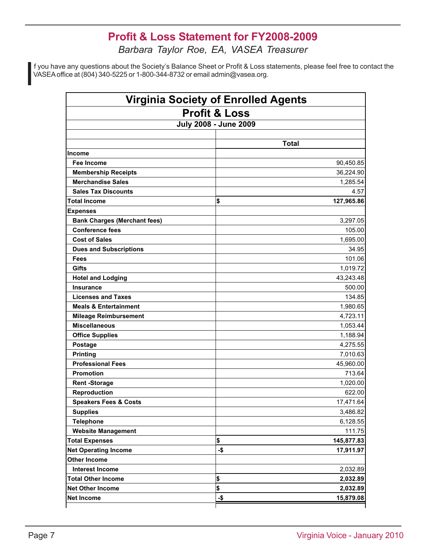# **Profit & Loss Statement for FY2008-2009**

*Barbara Taylor Roe, EA, VASEA Treasurer*

I f you have any questions about the Society's Balance Sheet or Profit & Loss statements, please feel free to contact the VASEA office at (804) 340-5225 or 1-800-344-8732 or email admin@vasea.org.

| <b>Virginia Society of Enrolled Agents</b> |     |              |  |  |
|--------------------------------------------|-----|--------------|--|--|
| <b>Profit &amp; Loss</b>                   |     |              |  |  |
| July 2008 - June 2009                      |     |              |  |  |
|                                            |     |              |  |  |
|                                            |     | <b>Total</b> |  |  |
| <b>Income</b>                              |     |              |  |  |
| Fee Income                                 |     | 90,450.85    |  |  |
| <b>Membership Receipts</b>                 |     | 36,224.90    |  |  |
| <b>Merchandise Sales</b>                   |     | 1.285.54     |  |  |
| <b>Sales Tax Discounts</b>                 |     | 4.57         |  |  |
| <b>Total Income</b>                        | \$  | 127,965.86   |  |  |
| <b>Expenses</b>                            |     |              |  |  |
| <b>Bank Charges (Merchant fees)</b>        |     | 3,297.05     |  |  |
| <b>Conference fees</b>                     |     | 105.00       |  |  |
| <b>Cost of Sales</b>                       |     | 1,695.00     |  |  |
| <b>Dues and Subscriptions</b>              |     | 34.95        |  |  |
| Fees                                       |     | 101.06       |  |  |
| Gifts                                      |     | 1,019.72     |  |  |
| <b>Hotel and Lodging</b>                   |     | 43,243.48    |  |  |
| <b>Insurance</b>                           |     | 500.00       |  |  |
| <b>Licenses and Taxes</b>                  |     | 134.85       |  |  |
| <b>Meals &amp; Entertainment</b>           |     | 1,980.65     |  |  |
| <b>Mileage Reimbursement</b>               |     | 4,723.11     |  |  |
| <b>Miscellaneous</b>                       |     | 1,053.44     |  |  |
| <b>Office Supplies</b>                     |     | 1,188.94     |  |  |
| Postage                                    |     | 4,275.55     |  |  |
| <b>Printing</b>                            |     | 7,010.63     |  |  |
| <b>Professional Fees</b>                   |     | 45,960.00    |  |  |
| <b>Promotion</b>                           |     | 713.64       |  |  |
| <b>Rent-Storage</b>                        |     | 1,020.00     |  |  |
| <b>Reproduction</b>                        |     | 622.00       |  |  |
| <b>Speakers Fees &amp; Costs</b>           |     | 17,471.64    |  |  |
| <b>Supplies</b>                            |     | 3,486.82     |  |  |
| <b>Telephone</b>                           |     | 6,128.55     |  |  |
| <b>Website Management</b>                  |     | 111.75       |  |  |
| <b>Total Expenses</b>                      | \$  | 145,877.83   |  |  |
| <b>Net Operating Income</b>                | -\$ | 17,911.97    |  |  |
| Other Income                               |     |              |  |  |
| <b>Interest Income</b>                     |     | 2,032.89     |  |  |
| <b>Total Other Income</b>                  | \$  | 2,032.89     |  |  |
| <b>Net Other Income</b>                    | \$  | 2,032.89     |  |  |
| <b>Net Income</b>                          | -\$ | 15,879.08    |  |  |
|                                            |     |              |  |  |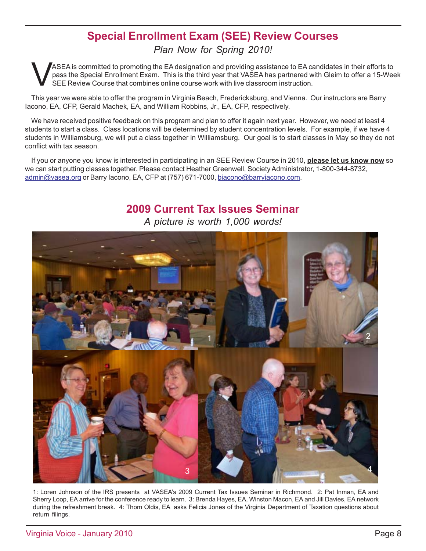# **Special Enrollment Exam (SEE) Review Courses**

*Plan Now for Spring 2010!*

ASEA is committed to promoting the EA designation and providing assistance to EA candidates in their efforts to pass the Special Enrollment Exam. This is the third year that VASEA has partnered with Gleim to offer a 15-Week SEE Review Course that combines online course work with live classroom instruction.

This year we were able to offer the program in Virginia Beach, Fredericksburg, and Vienna. Our instructors are Barry Iacono, EA, CFP, Gerald Machek, EA, and William Robbins, Jr., EA, CFP, respectively.

We have received positive feedback on this program and plan to offer it again next year. However, we need at least 4 students to start a class. Class locations will be determined by student concentration levels. For example, if we have 4 students in Williamsburg, we will put a class together in Williamsburg. Our goal is to start classes in May so they do not conflict with tax season.

If you or anyone you know is interested in participating in an SEE Review Course in 2010, **please let us know now** so we can start putting classes together. Please contact Heather Greenwell, Society Administrator, 1-800-344-8732, admin@vasea.org or Barry Iacono, EA, CFP at (757) 671-7000, biacono@barryiacono.com.

# **2009 Current Tax Issues Seminar**



*A picture is worth 1,000 words!*

1: Loren Johnson of the IRS presents at VASEA's 2009 Current Tax Issues Seminar in Richmond. 2: Pat Inman, EA and Sherry Loop, EA arrive for the conference ready to learn. 3: Brenda Hayes, EA, Winston Macon, EA and Jill Davies, EA network during the refreshment break. 4: Thom Oldis, EA asks Felicia Jones of the Virginia Department of Taxation questions about return filings.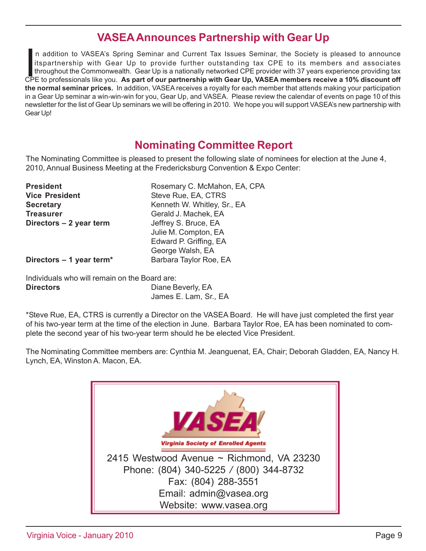# **VASEA Announces Partnership with Gear Up**

In addition to VASEA's Spring Seminar and Current Tax Issues Seminar, the Society is pleased to announce itspartnership with Gear Up to provide further outstanding tax CPE to its members and associates throughout the Commo n addition to VASEA's Spring Seminar and Current Tax Issues Seminar, the Society is pleased to announce itspartnership with Gear Up to provide further outstanding tax CPE to its members and associates throughout the Commonwealth. Gear Up is a nationally networked CPE provider with 37 years experience providing tax **the normal seminar prices.** In addition, VASEA receives a royalty for each member that attends making your participation in a Gear Up seminar a win-win-win for you, Gear Up, and VASEA. Please review the calendar of events on page 10 of this newsletter for the list of Gear Up seminars we will be offering in 2010. We hope you will support VASEA's new partnership with Gear Up!

# **Nominating Committee Report**

The Nominating Committee is pleased to present the following slate of nominees for election at the June 4, 2010, Annual Business Meeting at the Fredericksburg Convention & Expo Center:

| <b>President</b>          | Rosemary C. McMahon, EA, CPA |
|---------------------------|------------------------------|
| <b>Vice President</b>     | Steve Rue, EA, CTRS          |
| <b>Secretary</b>          | Kenneth W. Whitley, Sr., EA  |
| <b>Treasurer</b>          | Gerald J. Machek, EA         |
| Directors - 2 year term   | Jeffrey S. Bruce, EA         |
|                           | Julie M. Compton, EA         |
|                           | Edward P. Griffing, EA       |
|                           | George Walsh, EA             |
| Directors $-1$ year term* | Barbara Taylor Roe, EA       |

Individuals who will remain on the Board are: **Directors** Diane Beverly, EA James E. Lam, Sr., EA

\*Steve Rue, EA, CTRS is currently a Director on the VASEA Board. He will have just completed the first year of his two-year term at the time of the election in June. Barbara Taylor Roe, EA has been nominated to complete the second year of his two-year term should he be elected Vice President.

The Nominating Committee members are: Cynthia M. Jeanguenat, EA, Chair; Deborah Gladden, EA, Nancy H. Lynch, EA, Winston A. Macon, EA.